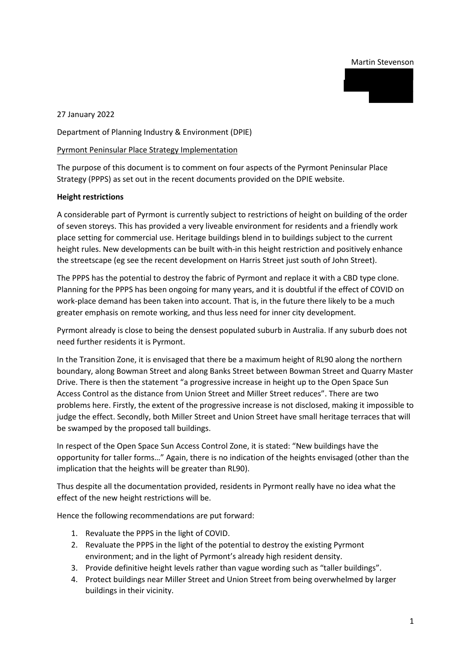### Martin Stevenson



27 January 2022

Department of Planning Industry & Environment (DPIE)

### Pyrmont Peninsular Place Strategy Implementation

The purpose of this document is to comment on four aspects of the Pyrmont Peninsular Place Strategy (PPPS) as set out in the recent documents provided on the DPIE website.

### **Height restrictions**

A considerable part of Pyrmont is currently subject to restrictions of height on building of the order of seven storeys. This has provided a very liveable environment for residents and a friendly work place setting for commercial use. Heritage buildings blend in to buildings subject to the current height rules. New developments can be built with-in this height restriction and positively enhance the streetscape (eg see the recent development on Harris Street just south of John Street).

The PPPS has the potential to destroy the fabric of Pyrmont and replace it with a CBD type clone. Planning for the PPPS has been ongoing for many years, and it is doubtful if the effect of COVID on work-place demand has been taken into account. That is, in the future there likely to be a much greater emphasis on remote working, and thus less need for inner city development.

Pyrmont already is close to being the densest populated suburb in Australia. If any suburb does not need further residents it is Pyrmont.

In the Transition Zone, it is envisaged that there be a maximum height of RL90 along the northern boundary, along Bowman Street and along Banks Street between Bowman Street and Quarry Master Drive. There is then the statement "a progressive increase in height up to the Open Space Sun Access Control as the distance from Union Street and Miller Street reduces". There are two problems here. Firstly, the extent of the progressive increase is not disclosed, making it impossible to judge the effect. Secondly, both Miller Street and Union Street have small heritage terraces that will be swamped by the proposed tall buildings.

In respect of the Open Space Sun Access Control Zone, it is stated: "New buildings have the opportunity for taller forms…" Again, there is no indication of the heights envisaged (other than the implication that the heights will be greater than RL90).

Thus despite all the documentation provided, residents in Pyrmont really have no idea what the effect of the new height restrictions will be.

Hence the following recommendations are put forward:

- 1. Revaluate the PPPS in the light of COVID.
- 2. Revaluate the PPPS in the light of the potential to destroy the existing Pyrmont environment; and in the light of Pyrmont's already high resident density.
- 3. Provide definitive height levels rather than vague wording such as "taller buildings".
- 4. Protect buildings near Miller Street and Union Street from being overwhelmed by larger buildings in their vicinity.